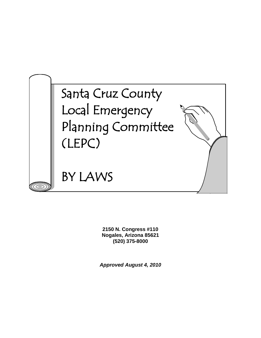

**2150 N. Congress #110 Nogales, Arizona 85621 (520) 375-8000**

*Approved August 4, 2010*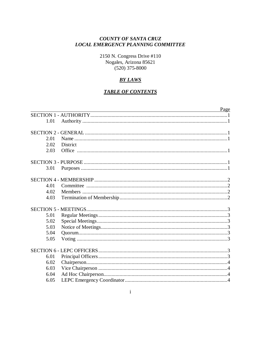#### **COUNTY OF SANTA CRUZ LOCAL EMERGENCY PLANNING COMMITTEE**

2150 N. Congress Drive #110 Nogales, Arizona 85621  $(520)$  375-8000

#### **BY LAWS**

#### **TABLE OF CONTENTS**

|      | Page            |
|------|-----------------|
|      |                 |
| 1.01 |                 |
|      |                 |
|      |                 |
| 2.01 |                 |
| 2.02 | <b>District</b> |
| 2.03 |                 |
|      |                 |
| 3.01 |                 |
|      |                 |
| 4.01 |                 |
| 4.02 |                 |
| 4.03 |                 |
|      |                 |
|      |                 |
| 5.01 |                 |
| 5.02 |                 |
| 5.03 |                 |
| 5.04 |                 |
| 5.05 |                 |
|      |                 |
| 6.01 |                 |
| 6.02 |                 |
| 6.03 |                 |
| 6.04 |                 |
| 6.05 |                 |
|      |                 |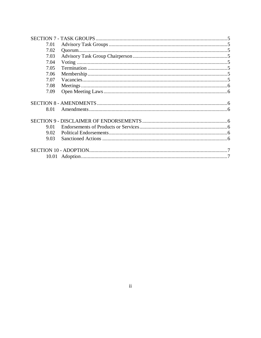| 7.01<br>7.02<br>7.03<br>7.04<br>7.05<br>7.06<br>7.07<br>7.08<br>7.09<br>8.01<br>9.01<br>9.02<br>9.03 |  |  |
|------------------------------------------------------------------------------------------------------|--|--|
|                                                                                                      |  |  |
|                                                                                                      |  |  |
|                                                                                                      |  |  |
|                                                                                                      |  |  |
|                                                                                                      |  |  |
|                                                                                                      |  |  |
|                                                                                                      |  |  |
|                                                                                                      |  |  |
|                                                                                                      |  |  |
|                                                                                                      |  |  |
|                                                                                                      |  |  |
|                                                                                                      |  |  |
|                                                                                                      |  |  |
|                                                                                                      |  |  |
|                                                                                                      |  |  |
|                                                                                                      |  |  |
|                                                                                                      |  |  |
|                                                                                                      |  |  |
|                                                                                                      |  |  |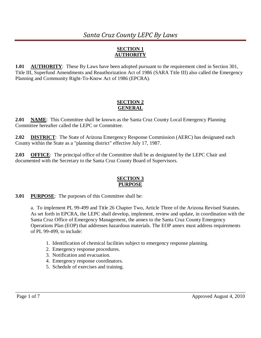## *Santa Cruz County LEPC By Laws*

## **SECTION 1 AUTHORITY**

**1.01 AUTHORITY**: These By Laws have been adopted pursuant to the requirement cited in Section 301, Title III, Superfund Amendments and Reauthorization Act of 1986 (SARA Title III) also called the Emergency Planning and Community Right-To-Know Act of 1986 (EPCRA).

#### **SECTION 2 GENERAL**

**2.01 NAME**: This Committee shall be known as the Santa Cruz County Local Emergency Planning Committee hereafter called the LEPC or Committee.

**2.02 DISTRICT**: The State of Arizona Emergency Response Commission (AERC) has designated each County within the State as a "planning district" effective July 17, 1987.

**2.03 OFFICE**: The principal office of the Committee shall be as designated by the LEPC Chair and documented with the Secretary to the Santa Cruz County Board of Supervisors.

#### **SECTION 3 PURPOSE**

**3.01 PURPOSE**: The purposes of this Committee shall be:

a. To implement PL 99-499 and Title 26 Chapter Two, Article Three of the Arizona Revised Statutes. As set forth in EPCRA, the LEPC shall develop, implement, review and update, in coordination with the Santa Cruz Office of Emergency Management, the annex to the Santa Cruz County Emergency Operations Plan (EOP) that addresses hazardous materials. The EOP annex must address requirements of PL 99-499, to include:

1. Identification of chemical facilities subject to emergency response planning.

- 2. Emergency response procedures.
- 3. Notification and evacuation.
- 4. Emergency response coordinators.
- 5. Schedule of exercises and training.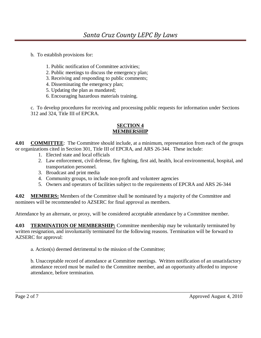b. To establish provisions for:

- 1. Public notification of Committee activities;
- 2. Public meetings to discuss the emergency plan;
- 3. Receiving and responding to public comments;
- 4. Disseminating the emergency plan;
- 5. Updating the plan as mandated;
- 6. Encouraging hazardous materials training.

c. To develop procedures for receiving and processing public requests for information under Sections 312 and 324, Title III of EPCRA.

#### **SECTION 4 MEMBERSHIP**

**4.01 COMMITTEE**: The Committee should include, at a minimum, representation from each of the groups or organizations cited in Section 301, Title III of EPCRA, and ARS 26-344. These include:

- 1. Elected state and local officials
- 2. Law enforcement, civil defense, fire fighting, first aid, health, local environmental, hospital, and transportation personnel.
- 3. Broadcast and print media
- 4. Community groups, to include non-profit and volunteer agencies
- 5. Owners and operators of facilities subject to the requirements of EPCRA and ARS 26-344

**4.02 MEMBERS:** Members of the Committee shall be nominated by a majority of the Committee and nominees will be recommended to AZSERC for final approval as members.

Attendance by an alternate, or proxy, will be considered acceptable attendance by a Committee member.

**4.03 TERMINATION OF MEMBERSHIP:** Committee membership may be voluntarily terminated by written resignation, and involuntarily terminated for the following reasons. Termination will be forward to AZSERC for approval:

a. Action(s) deemed detrimental to the mission of the Committee;

b. Unacceptable record of attendance at Committee meetings. Written notification of an unsatisfactory attendance record must be mailed to the Committee member, and an opportunity afforded to improve attendance, before termination.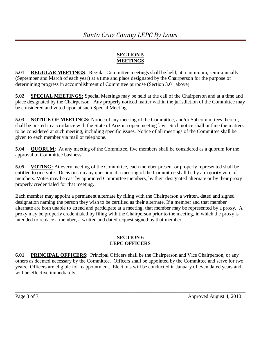#### **SECTION 5 MEETINGS**

**5.01 REGULAR MEETINGS**: Regular Committee meetings shall be held, at a minimum, semi-annually (September and March of each year) at a time and place designated by the Chairperson for the purpose of determining progress in accomplishment of Committee purpose (Section 3.01 above).

**5.02 SPECIAL MEETINGS:** Special Meetings may be held at the call of the Chairperson and at a time and place designated by the Chairperson. Any properly noticed matter within the jurisdiction of the Committee may be considered and voted upon at such Special Meeting.

**5.03 NOTICE OF MEETINGS:** Notice of any meeting of the Committee, and/or Subcommittees thereof, shall be posted in accordance with the State of Arizona open meeting law. Such notice shall outline the matters to be considered at such meeting, including specific issues. Notice of all meetings of the Committee shall be given to each member via mail or telephone.

**5.04 QUORUM**: At any meeting of the Committee, five members shall be considered as a quorum for the approval of Committee business.

**5.05 VOTING:** At every meeting of the Committee, each member present or properly represented shall be entitled to one vote. Decisions on any question at a meeting of the Committee shall be by a majority vote of members. Votes may be cast by appointed Committee members, by their designated alternate or by their proxy properly credentialed for that meeting.

Each member may appoint a permanent alternate by filing with the Chairperson a written, dated and signed designation naming the person they wish to be certified as their alternate. If a member and that member alternate are both unable to attend and participate at a meeting, that member may be represented by a proxy. A proxy may be properly credentialed by filing with the Chairperson prior to the meeting, in which the proxy is intended to replace a member, a written and dated request signed by that member.

#### **SECTION 6 LEPC OFFICERS**

**6.01 PRINCIPAL OFFICERS**: Principal Officers shall be the Chairperson and Vice Chairperson, or any others as deemed necessary by the Committee. Officers shall be appointed by the Committee and serve for two years. Officers are eligible for reappointment. Elections will be conducted in January of even dated years and will be effective immediately.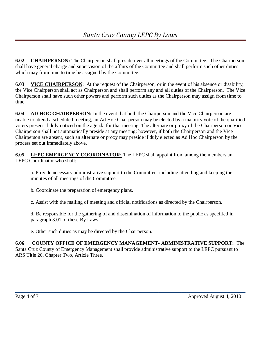**6.02 CHAIRPERSON:** The Chairperson shall preside over all meetings of the Committee. The Chairperson shall have general charge and supervision of the affairs of the Committee and shall perform such other duties which may from time to time be assigned by the Committee.

**6.03 VICE CHAIRPERSON**: At the request of the Chairperson, or in the event of his absence or disability, the Vice Chairperson shall act as Chairperson and shall perform any and all duties of the Chairperson. The Vice Chairperson shall have such other powers and perform such duties as the Chairperson may assign from time to time.

**6.04 AD HOC CHAIRPERSON:** In the event that both the Chairperson and the Vice Chairperson are unable to attend a scheduled meeting, an Ad Hoc Chairperson may be elected by a majority vote of the qualified voters present if duly noticed on the agenda for that meeting. The alternate or proxy of the Chairperson or Vice Chairperson shall not automatically preside at any meeting; however, if both the Chairperson and the Vice Chairperson are absent, such an alternate or proxy may preside if duly elected as Ad Hoc Chairperson by the process set out immediately above.

**6.05** LEPC EMERGENCY COORDINATOR: The LEPC shall appoint from among the members an LEPC Coordinator who shall:

a. Provide necessary administrative support to the Committee, including attending and keeping the minutes of all meetings of the Committee.

b. Coordinate the preparation of emergency plans.

c. Assist with the mailing of meeting and official notifications as directed by the Chairperson.

d. Be responsible for the gathering of and dissemination of information to the public as specified in paragraph 3.01 of these By Laws.

e. Other such duties as may be directed by the Chairperson.

## **6.06 COUNTY OFFICE OF EMERGENCY MANAGEMENT- ADMINISTRATIVE SUPPORT:** The

Santa Cruz County of Emergency Management shall provide administrative support to the LEPC pursuant to ARS Title 26, Chapter Two, Article Three.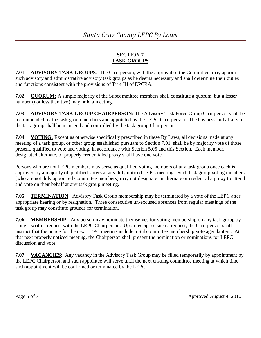#### **SECTION 7 TASK GROUPS**

**7.01 ADVISORY TASK GROUPS**: The Chairperson, with the approval of the Committee, may appoint such advisory and administrative advisory task groups as he deems necessary and shall determine their duties and functions consistent with the provisions of Title III of EPCRA.

**7.02 QUORUM:** A simple majority of the Subcommittee members shall constitute a quorum, but a lesser number (not less than two) may hold a meeting.

**7.03 ADVISORY TASK GROUP CHAIRPERSON:** The Advisory Task Force Group Chairperson shall be recommended by the task group members and appointed by the LEPC Chairperson. The business and affairs of the task group shall be managed and controlled by the task group Chairperson.

**7.04 VOTING:** Except as otherwise specifically prescribed in these By Laws, all decisions made at any meeting of a task group, or other group established pursuant to Section 7.01, shall be by majority vote of those present, qualified to vote and voting, in accordance with Section 5.05 and this Section. Each member, designated alternate, or properly credentialed proxy shall have one vote.

Persons who are not LEPC members may serve as qualified voting members of any task group once each is approved by a majority of qualified voters at any duly noticed LEPC meeting. Such task group voting members (who are not duly appointed Committee members) may not designate an alternate or credential a proxy to attend and vote on their behalf at any task group meeting.

**7.05 TERMINATION**: Advisory Task Group membership may be terminated by a vote of the LEPC after appropriate hearing or by resignation. Three consecutive un-excused absences from regular meetings of the task group may constitute grounds for termination.

**7.06 MEMBERSHIP:** Any person may nominate themselves for voting membership on any task group by filing a written request with the LEPC Chairperson. Upon receipt of such a request, the Chairperson shall instruct that the notice for the next LEPC meeting include a Subcommittee membership vote agenda item. At that next properly noticed meeting, the Chairperson shall present the nomination or nominations for LEPC discussion and vote.

**7.07 VACANCIES**: Any vacancy in the Advisory Task Group may be filled temporarily by appointment by the LEPC Chairperson and such appointee will serve until the next ensuing committee meeting at which time such appointment will be confirmed or terminated by the LEPC.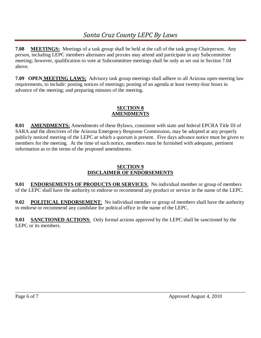**7.08 MEETINGS:** Meetings of a task group shall be held at the call of the task group Chairperson. Any person, including LEPC members alternates and proxies may attend and participate in any Subcommittee meeting; however, qualification to vote at Subcommittee meetings shall be only as set out in Section 7.04 above.

**7.09 OPEN MEETING LAWS:** Advisory task group meetings shall adhere to all Arizona open-meeting law requirements, to include: posting notices of meetings; posting of an agenda at least twenty-four hours in advance of the meeting; and preparing minutes of the meeting.

### **SECTION 8 AMENDMENTS**

**8.01 AMENDMENTS:** Amendments of these Bylaws, consistent with state and federal EPCRA Title III of SARA and the directives of the Arizona Emergency Response Commission, may be adopted at any properly publicly noticed meeting of the LEPC at which a quorum is present. Five days advance notice must be given to members for the meeting. At the time of such notice, members must be furnished with adequate, pertinent information as to the terms of the proposed amendments.

## **SECTION 9 DISCLAIMER OF ENDORSEMENTS**

**9.01 ENDORSEMENTS OF PRODUCTS OR SERVICES**: No individual member or group of members of the LEPC shall have the authority to endorse or recommend any product or service in the name of the LEPC.

**9.02 POLITICAL ENDORSEMENT**: No individual member or group of members shall have the authority to endorse or recommend any candidate for political office in the name of the LEPC.

\_\_\_\_\_\_\_\_\_\_\_\_\_\_\_\_\_\_\_\_\_\_\_\_\_\_\_\_\_\_\_\_\_\_\_\_\_\_\_\_\_\_\_\_\_\_\_\_\_\_\_\_\_\_\_\_\_\_\_\_\_\_\_\_\_\_\_\_\_\_\_\_\_\_\_\_\_\_\_\_\_\_\_\_\_\_\_\_\_\_

**9.03 SANCTIONED ACTIONS**: Only formal actions approved by the LEPC shall be sanctioned by the LEPC or its members.